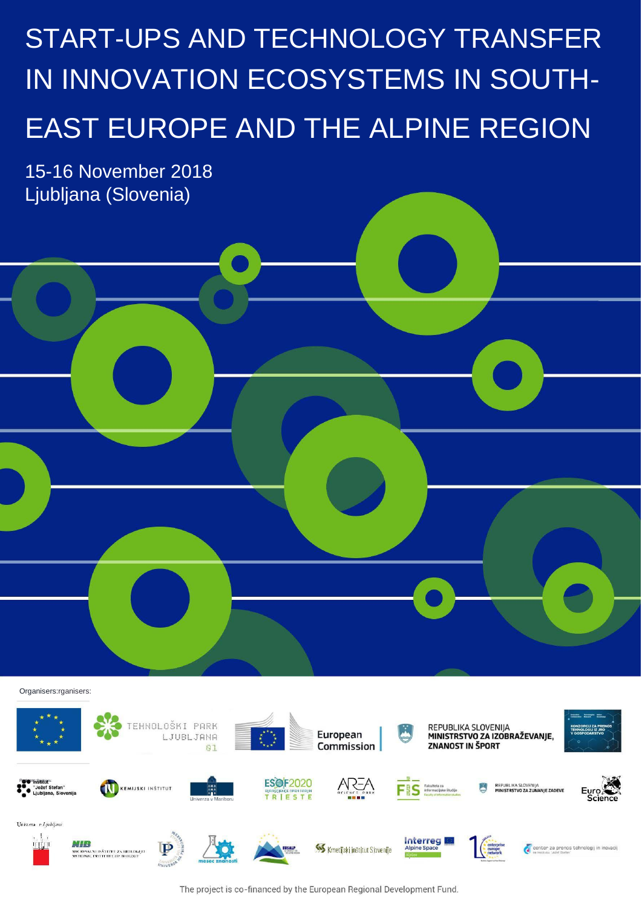# START-UPS AND TECHNOLOGY TRANSFER IN INNOVATION ECOSYSTEMS IN SOUTH-EAST EUROPE AND THE ALPINE REGION

15-16 November 2018 Ljubljana (Slovenia)



The project is co-financed by the European Regional Development Fund.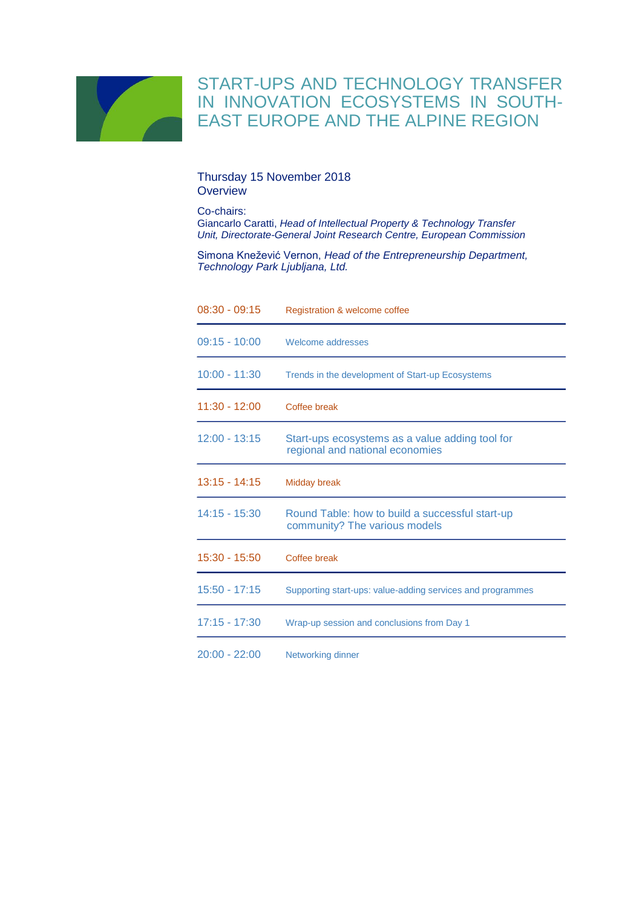

### START-UPS AND TECHNOLOGY TRANSFER IN INNOVATION ECOSYSTEMS IN SOUTH-EAST EUROPE AND THE ALPINE REGION

#### Thursday 15 November 2018 **Overview**

Co-chairs:

Giancarlo Caratti, *Head of Intellectual Property & Technology Transfer Unit, Directorate-General Joint Research Centre, European Commission*

Simona Knežević Vernon, *Head of the Entrepreneurship Department, Technology Park Ljubljana, Ltd.*

| $08:30 - 09:15$ | Registration & welcome coffee                                                      |
|-----------------|------------------------------------------------------------------------------------|
| $09:15 - 10:00$ | Welcome addresses                                                                  |
| $10:00 - 11:30$ | Trends in the development of Start-up Ecosystems                                   |
| $11:30 - 12:00$ | Coffee break                                                                       |
| $12:00 - 13:15$ | Start-ups ecosystems as a value adding tool for<br>regional and national economies |
| $13:15 - 14:15$ | Midday break                                                                       |
| $14:15 - 15:30$ | Round Table: how to build a successful start-up<br>community? The various models   |
| 15:30 - 15:50   | Coffee break                                                                       |
| $15:50 - 17:15$ | Supporting start-ups: value-adding services and programmes                         |
| 17:15 - 17:30   | Wrap-up session and conclusions from Day 1                                         |
| $20:00 - 22:00$ | <b>Networking dinner</b>                                                           |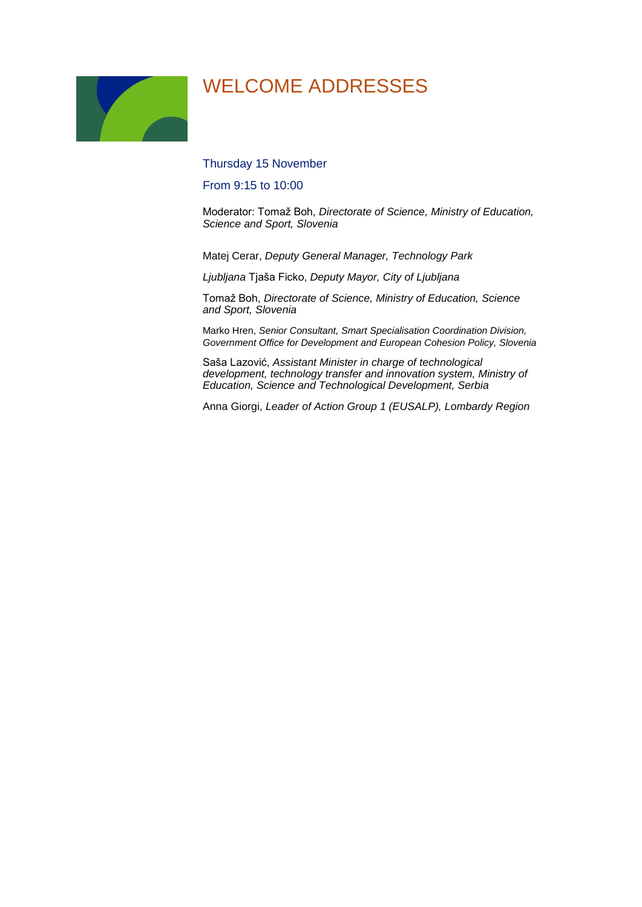### WELCOME ADDRESSES

Thursday 15 November

From 9:15 to 10:00

Moderator: Tomaž Boh, *Directorate of Science, Ministry of Education, Science and Sport, Slovenia*

Matej Cerar, *Deputy General Manager, Technology Park* 

*Ljubljana* Tjaša Ficko, *Deputy Mayor, City of Ljubljana*

Tomaž Boh, *Directorate of Science, Ministry of Education, Science and Sport, Slovenia*

Marko Hren, *Senior Consultant, Smart Specialisation Coordination Division, Government Office for Development and European Cohesion Policy, Slovenia*

Saša Lazović, *Assistant Minister in charge of technological development, technology transfer and innovation system, Ministry of Education, Science and Technological Development, Serbia*

Anna Giorgi, *Leader of Action Group 1 (EUSALP), Lombardy Region*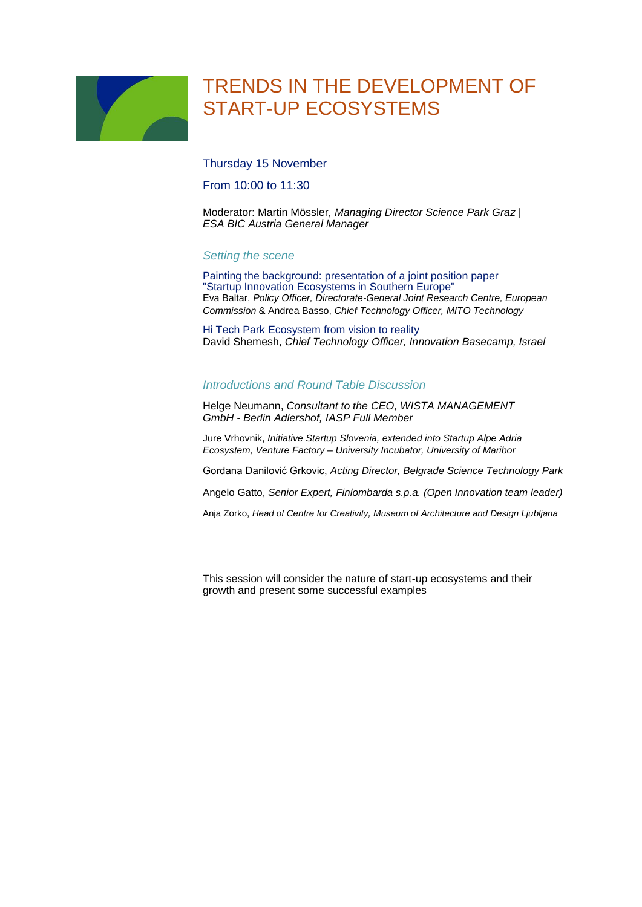# TRENDS IN THE DEVELOPMENT OF START-UP ECOSYSTEMS

Thursday 15 November

From 10:00 to 11:30

Moderator: Martin Mössler, *Managing Director Science Park Graz | ESA BIC Austria General Manager*

#### *Setting the scene*

Painting the background: presentation of a joint position paper "Startup Innovation Ecosystems in Southern Europe" Eva Baltar, *Policy Officer, Directorate-General Joint Research Centre, European Commission* & Andrea Basso, *Chief Technology Officer, MITO Technology*

Hi Tech Park Ecosystem from vision to reality David Shemesh, *Chief Technology Officer, Innovation Basecamp, Israel*

#### *Introductions and Round Table Discussion*

Helge Neumann, *Consultant to the CEO, WISTA MANAGEMENT GmbH - Berlin Adlershof, IASP Full Member*

Jure Vrhovnik, *Initiative Startup Slovenia, extended into Startup Alpe Adria Ecosystem, Venture Factory – University Incubator, University of Maribor*

Gordana Danilović Grkovic, *Acting Director, Belgrade Science Technology Park*

Angelo Gatto, *Senior Expert, Finlombarda s.p.a. (Open Innovation team leader)*

Anja Zorko, *Head of Centre for Creativity, Museum of Architecture and Design Ljubljana*

This session will consider the nature of start-up ecosystems and their growth and present some successful examples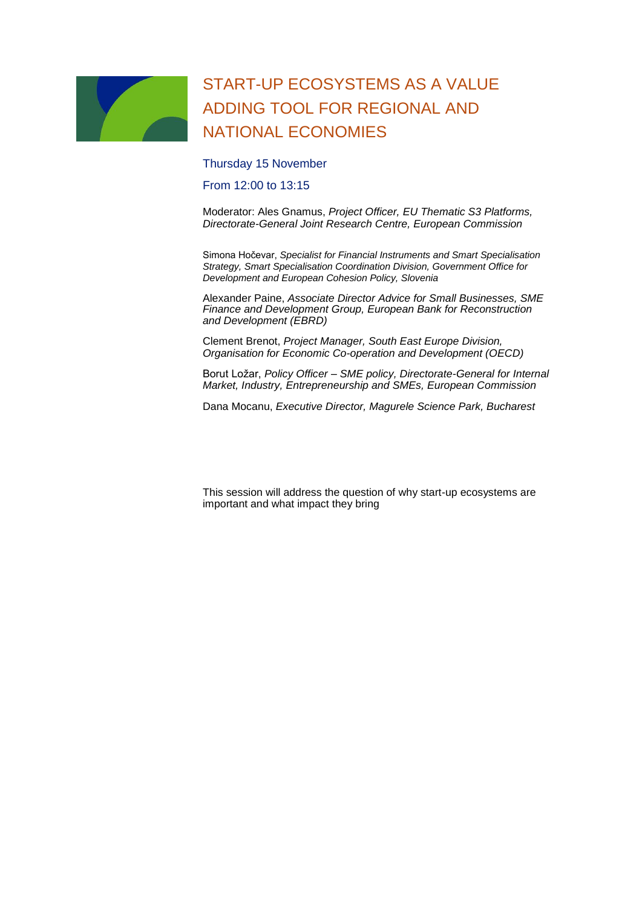### START-UP ECOSYSTEMS AS A VALUE ADDING TOOL FOR REGIONAL AND NATIONAL ECONOMIES

Thursday 15 November

From 12:00 to 13:15

Moderator: Ales Gnamus, *Project Officer, EU Thematic S3 Platforms, Directorate-General Joint Research Centre, European Commission*

Simona Hočevar, *Specialist for Financial Instruments and Smart Specialisation Strategy, Smart Specialisation Coordination Division, Government Office for Development and European Cohesion Policy, Slovenia*

Alexander Paine, *Associate Director Advice for Small Businesses, SME Finance and Development Group, European Bank for Reconstruction and Development (EBRD)*

Clement Brenot, *Project Manager, South East Europe Division, Organisation for Economic Co-operation and Development (OECD)*

Borut Ložar, *Policy Officer – SME policy, Directorate-General for Internal Market, Industry, Entrepreneurship and SMEs, European Commission*

Dana Mocanu, *Executive Director, Magurele Science Park, Bucharest*

This session will address the question of why start-up ecosystems are important and what impact they bring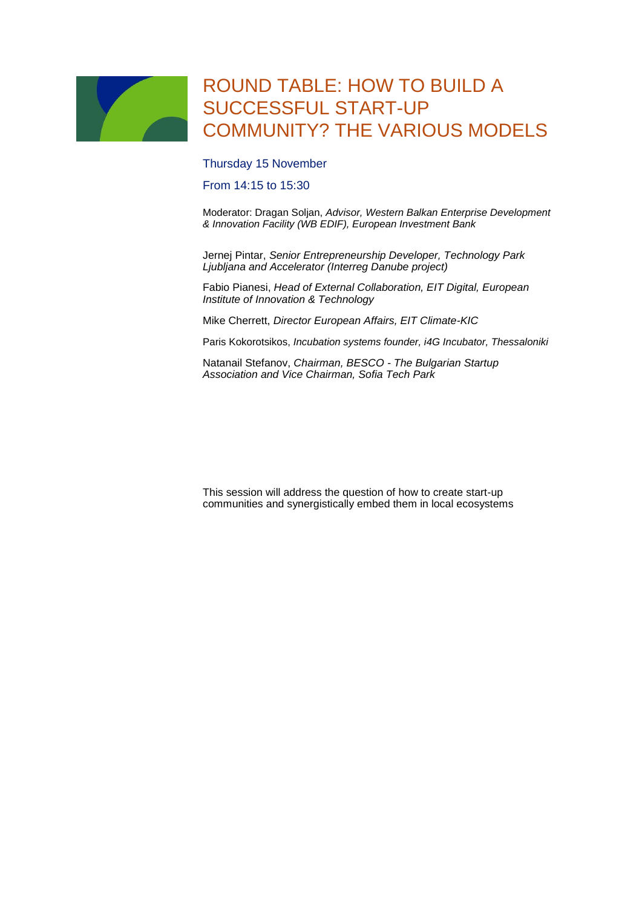### ROUND TABLE: HOW TO BUILD A SUCCESSFUL START-UP COMMUNITY? THE VARIOUS MODELS

Thursday 15 November

From 14:15 to 15:30

Moderator: Dragan Soljan, *Advisor, Western Balkan Enterprise Development & Innovation Facility (WB EDIF), European Investment Bank*

Jernej Pintar, *Senior Entrepreneurship Developer, Technology Park Ljubljana and Accelerator (Interreg Danube project)*

Fabio Pianesi, *Head of External Collaboration, EIT Digital, European Institute of Innovation & Technology*

Mike Cherrett, *Director European Affairs, EIT Climate-KIC*

Paris Kokorotsikos, *Incubation systems founder, i4G Incubator, Thessaloniki*

Natanail Stefanov, *Chairman, BESCO - The Bulgarian Startup Association and Vice Chairman, Sofia Tech Park*

This session will address the question of how to create start-up communities and synergistically embed them in local ecosystems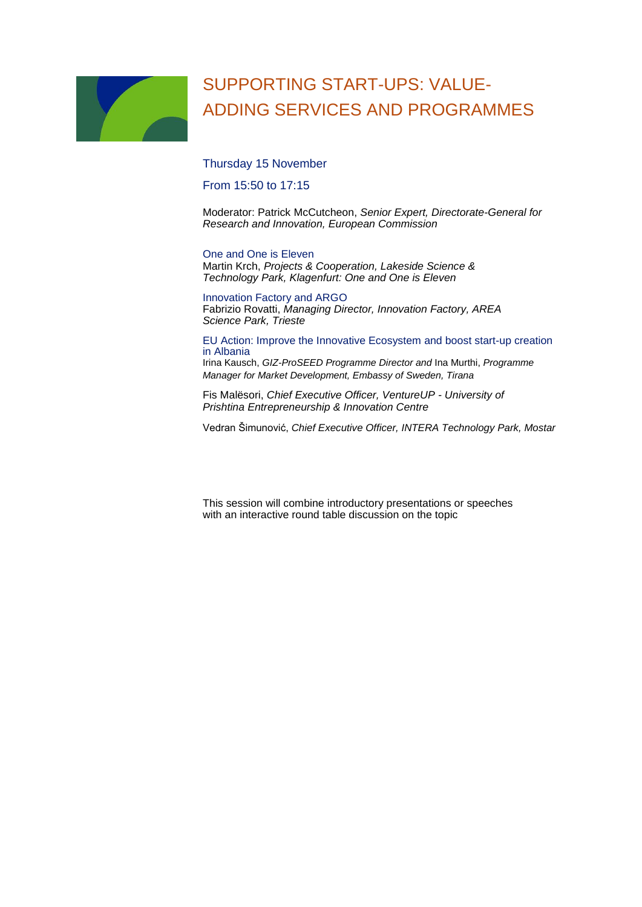### SUPPORTING START-UPS: VALUE-ADDING SERVICES AND PROGRAMMES

Thursday 15 November

From 15:50 to 17:15

Moderator: Patrick McCutcheon, *Senior Expert, Directorate-General for Research and Innovation, European Commission*

#### One and One is Eleven

Martin Krch, *Projects & Cooperation, Lakeside Science & Technology Park, Klagenfurt: One and One is Eleven*

Innovation Factory and ARGO Fabrizio Rovatti, *Managing Director, Innovation Factory, AREA Science Park, Trieste*

EU Action: Improve the Innovative Ecosystem and boost start-up creation in Albania

Irina Kausch, *GIZ-ProSEED Programme Director and* Ina Murthi, *Programme Manager for Market Development, Embassy of Sweden, Tirana*

Fis Malësori, *Chief Executive Officer, VentureUP - University of Prishtina Entrepreneurship & Innovation Centre*

Vedran Šimunović, *Chief Executive Officer, INTERA Technology Park, Mostar*

This session will combine introductory presentations or speeches with an interactive round table discussion on the topic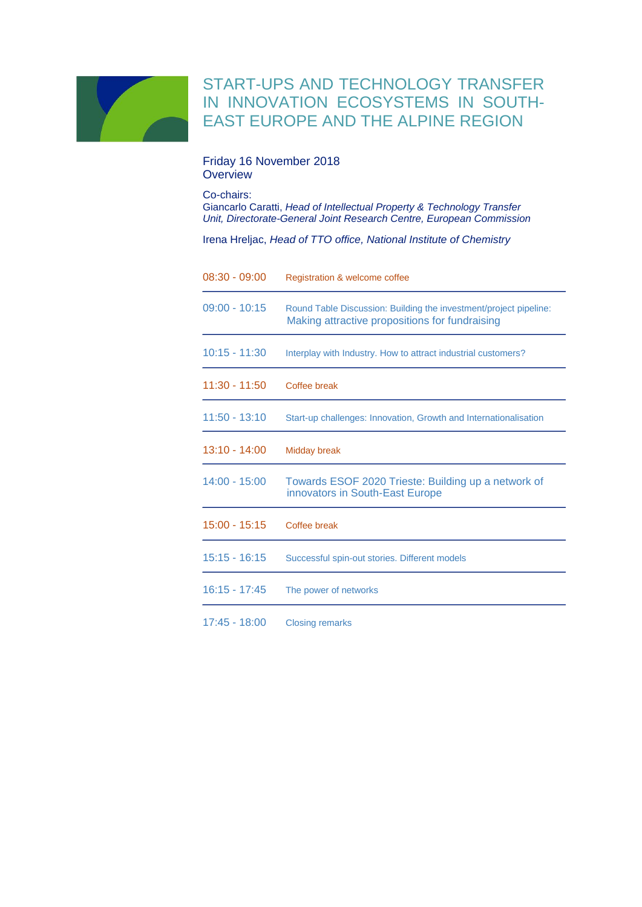

### START-UPS AND TECHNOLOGY TRANSFER IN INNOVATION ECOSYSTEMS IN SOUTH-EAST EUROPE AND THE ALPINE REGION

#### Friday 16 November 2018 **Overview**

Co-chairs: Giancarlo Caratti, *Head of Intellectual Property & Technology Transfer Unit, Directorate-General Joint Research Centre, European Commission*

Irena Hreljac, *Head of TTO office, National Institute of Chemistry*

| $08:30 - 09:00$ | Registration & welcome coffee                                                                                       |
|-----------------|---------------------------------------------------------------------------------------------------------------------|
| $09:00 - 10:15$ | Round Table Discussion: Building the investment/project pipeline:<br>Making attractive propositions for fundraising |
| $10:15 - 11:30$ | Interplay with Industry. How to attract industrial customers?                                                       |
| $11:30 - 11:50$ | Coffee break                                                                                                        |
| $11:50 - 13:10$ | Start-up challenges: Innovation, Growth and Internationalisation                                                    |
| $13:10 - 14:00$ | <b>Midday break</b>                                                                                                 |
| $14:00 - 15:00$ | Towards ESOF 2020 Trieste: Building up a network of<br>innovators in South-East Europe                              |
| $15:00 - 15:15$ | Coffee break                                                                                                        |
| $15:15 - 16:15$ | Successful spin-out stories. Different models                                                                       |
| $16:15 - 17:45$ | The power of networks                                                                                               |
| $17:45 - 18:00$ | <b>Closing remarks</b>                                                                                              |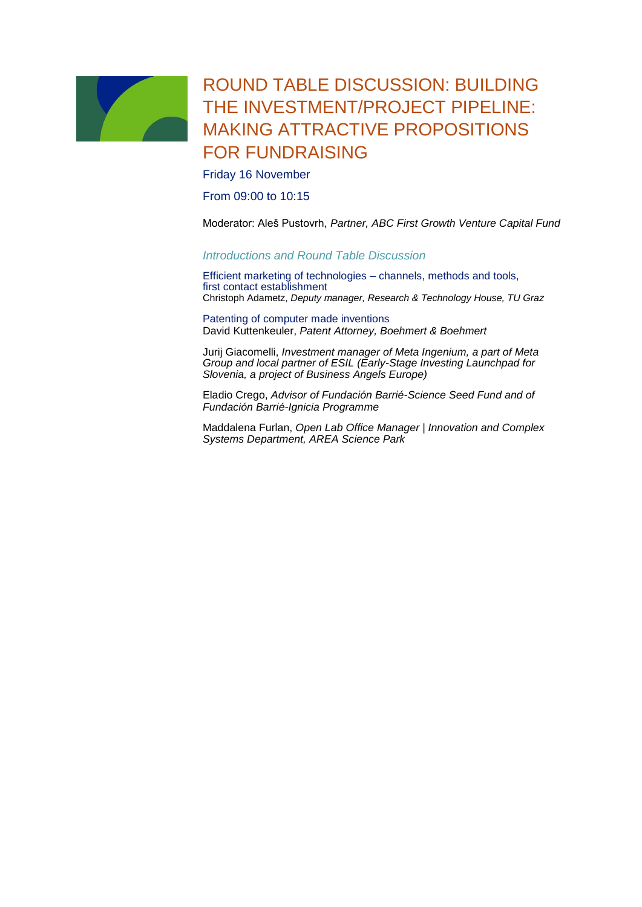

### ROUND TABLE DISCUSSION: BUILDING THE INVESTMENT/PROJECT PIPELINE: MAKING ATTRACTIVE PROPOSITIONS FOR FUNDRAISING

Friday 16 November

From 09:00 to 10:15

Moderator: Aleš Pustovrh, *Partner, ABC First Growth Venture Capital Fund*

#### *Introductions and Round Table Discussion*

Efficient marketing of technologies – channels, methods and tools, first contact establishment Christoph Adametz, *Deputy manager, Research & Technology House, TU Graz*

Patenting of computer made inventions David Kuttenkeuler, *Patent Attorney, Boehmert & Boehmert*

Jurij Giacomelli, *Investment manager of Meta Ingenium, a part of Meta Group and local partner of ESIL (Early-Stage Investing Launchpad for Slovenia, a project of Business Angels Europe)*

Eladio Crego, *Advisor of Fundación Barrié-Science Seed Fund and of Fundación Barrié-Ignicia Programme*

Maddalena Furlan, *Open Lab Office Manager | Innovation and Complex Systems Department, AREA Science Park*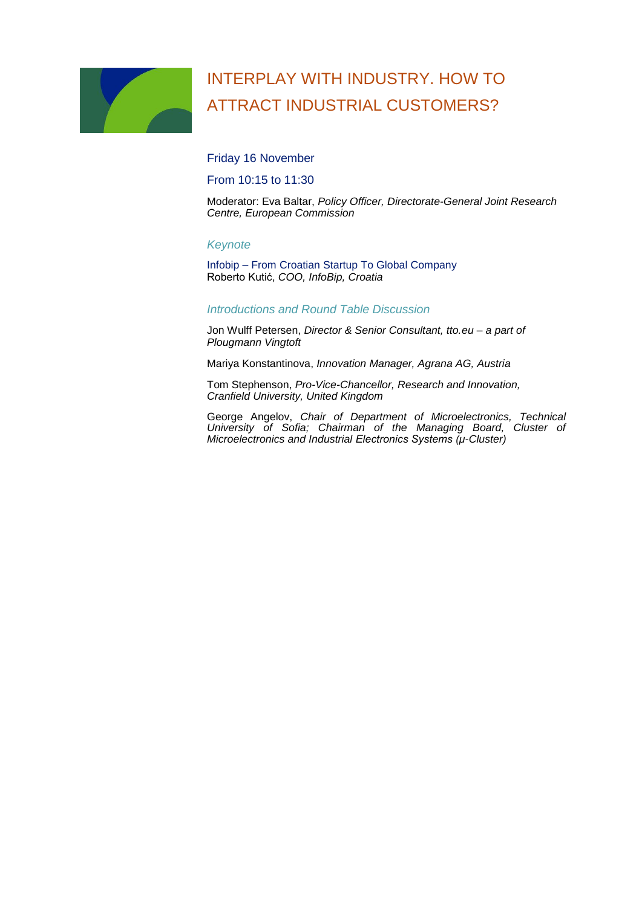# INTERPLAY WITH INDUSTRY. HOW TO ATTRACT INDUSTRIAL CUSTOMERS?

Friday 16 November

From 10:15 to 11:30

Moderator: Eva Baltar, *Policy Officer, Directorate-General Joint Research Centre, European Commission*

#### *Keynote*

Infobip – From Croatian Startup To Global Company Roberto Kutić, *COO, InfoBip, Croatia*

#### *Introductions and Round Table Discussion*

Jon Wulff Petersen, *Director & Senior Consultant, tto.eu – a part of Plougmann Vingtoft*

Mariya Konstantinova, *Innovation Manager, Agrana AG, Austria*

Tom Stephenson, *Pro-Vice-Chancellor, Research and Innovation, Cranfield University, United Kingdom*

George Angelov, *Chair of Department of Microelectronics, Technical University of Sofia; Chairman of the Managing Board, Cluster of Microelectronics and Industrial Electronics Systems (μ-Cluster)*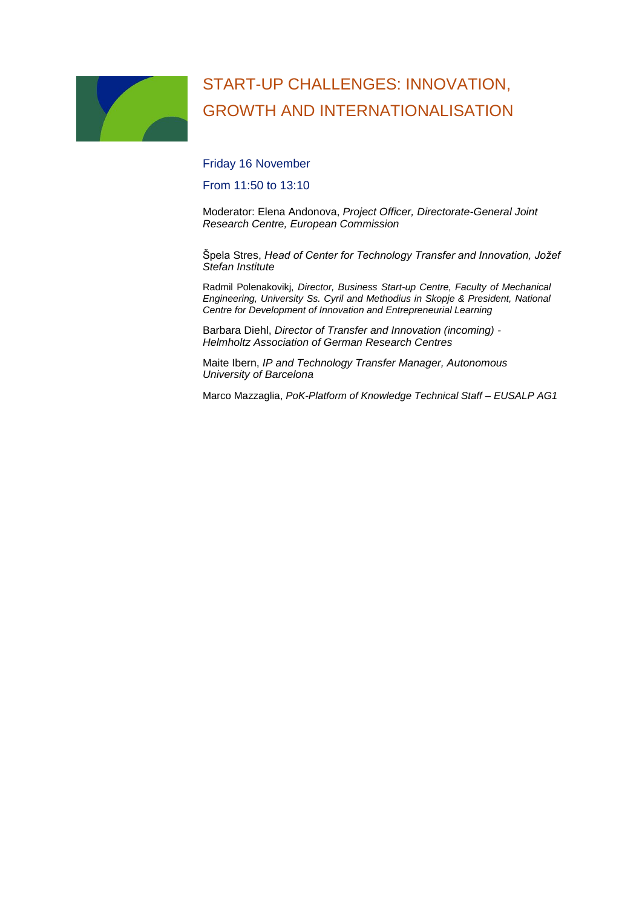# START-UP CHALLENGES: INNOVATION, GROWTH AND INTERNATIONALISATION

Friday 16 November

From 11:50 to 13:10

Moderator: Elena Andonova, *Project Officer, Directorate-General Joint Research Centre, European Commission*

Špela Stres, *Head of Center for Technology Transfer and Innovation, Jožef Stefan Institute*

Radmil Polenakovikj, *Director, Business Start-up Centre, Faculty of Mechanical Engineering, University Ss. Cyril and Methodius in Skopje & President, National Centre for Development of Innovation and Entrepreneurial Learning*

Barbara Diehl, *Director of Transfer and Innovation (incoming) - Helmholtz Association of German Research Centres*

Maite Ibern, *IP and Technology Transfer Manager, Autonomous University of Barcelona*

Marco Mazzaglia, *PoK-Platform of Knowledge Technical Staff – EUSALP AG1*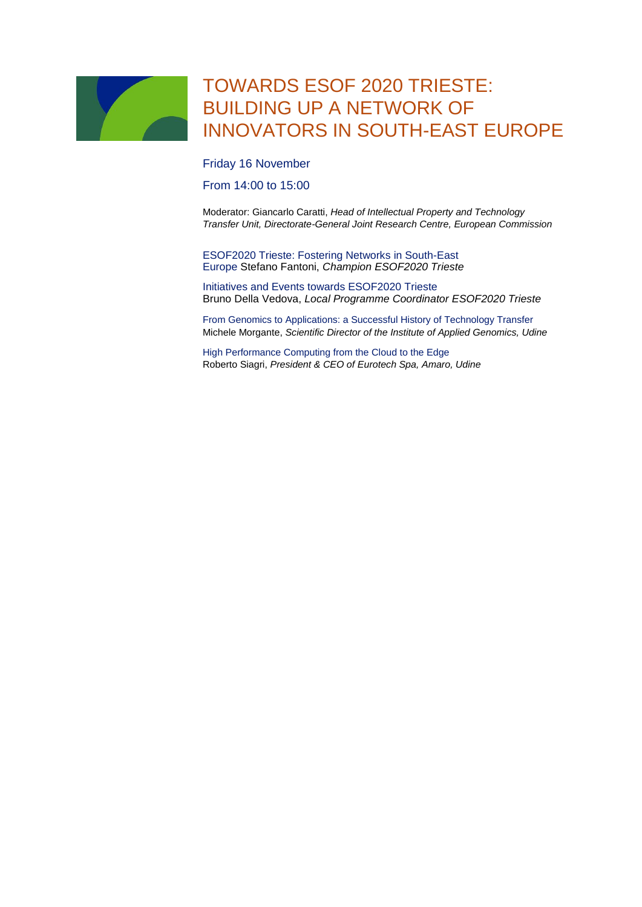### TOWARDS ESOF 2020 TRIESTE: BUILDING UP A NETWORK OF INNOVATORS IN SOUTH-EAST EUROPE

Friday 16 November

From 14:00 to 15:00

Moderator: Giancarlo Caratti, *Head of Intellectual Property and Technology Transfer Unit, Directorate-General Joint Research Centre, European Commission*

ESOF2020 Trieste: Fostering Networks in South-East Europe Stefano Fantoni, *Champion ESOF2020 Trieste*

Initiatives and Events towards ESOF2020 Trieste Bruno Della Vedova, *Local Programme Coordinator ESOF2020 Trieste*

From Genomics to Applications: a Successful History of Technology Transfer Michele Morgante, *Scientific Director of the Institute of Applied Genomics, Udine*

High Performance Computing from the Cloud to the Edge Roberto Siagri, *President & CEO of Eurotech Spa, Amaro, Udine*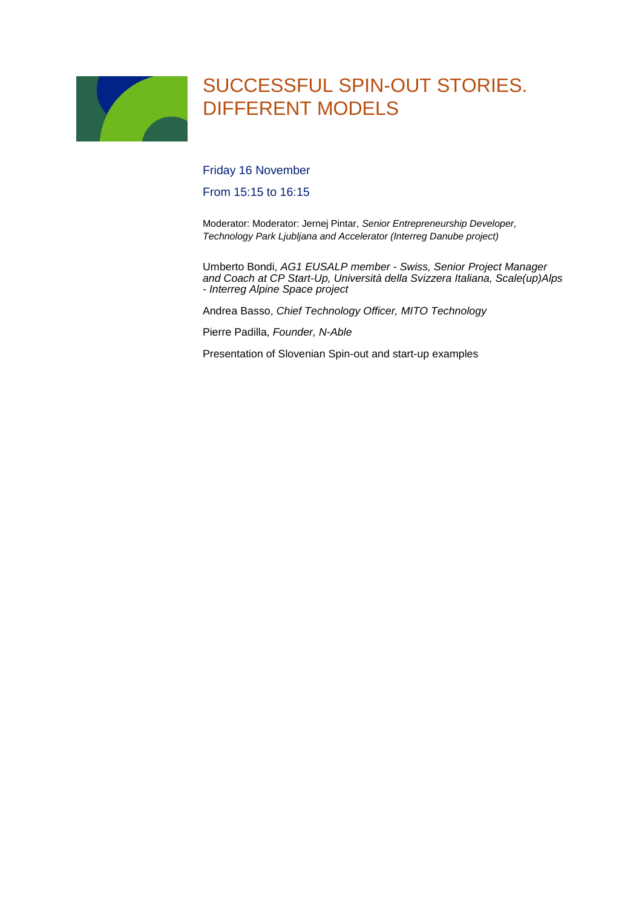# SUCCESSFUL SPIN-OUT STORIES. DIFFERENT MODELS

Friday 16 November

From 15:15 to 16:15

Moderator: Moderator: Jernej Pintar, *Senior Entrepreneurship Developer, Technology Park Ljubljana and Accelerator (Interreg Danube project)*

Umberto Bondi, *AG1 EUSALP member - Swiss, Senior Project Manager and Coach at CP Start-Up, Università della Svizzera Italiana, Scale(up)Alps - Interreg Alpine Space project*

Andrea Basso, *Chief Technology Officer, MITO Technology*

Pierre Padilla, *Founder, N-Able*

Presentation of Slovenian Spin-out and start-up examples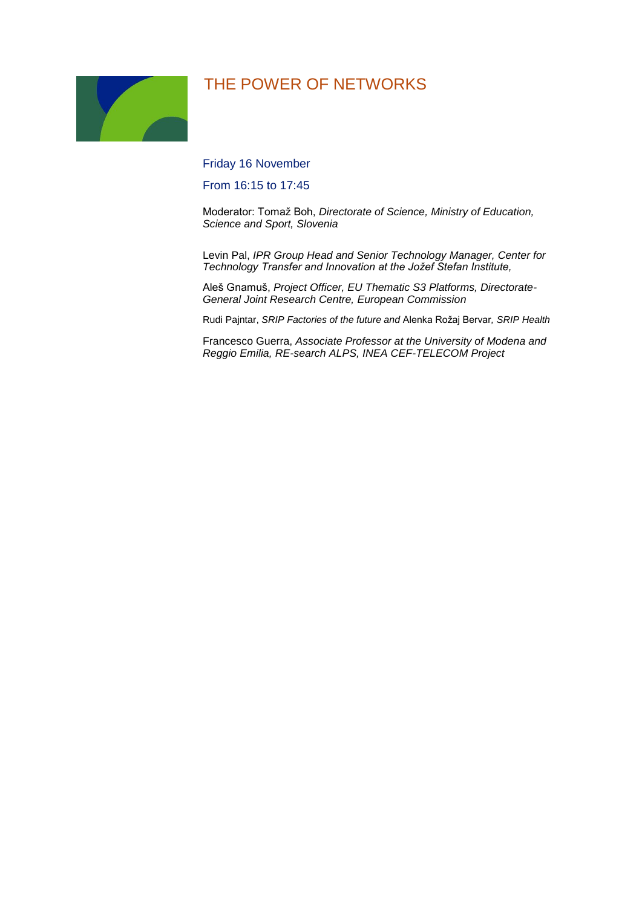### THE POWER OF NETWORKS

Friday 16 November

From 16:15 to 17:45

Moderator: Tomaž Boh, *Directorate of Science, Ministry of Education, Science and Sport, Slovenia*

Levin Pal, *IPR Group Head and Senior Technology Manager, Center for Technology Transfer and Innovation at the Jožef Stefan Institute,*

Aleš Gnamuš, *Project Officer, EU Thematic S3 Platforms, Directorate-General Joint Research Centre, European Commission*

Rudi Pajntar, *SRIP Factories of the future and* Alenka Rožaj Bervar*, SRIP Health*

Francesco Guerra, *Associate Professor at the University of Modena and Reggio Emilia, RE-search ALPS, INEA CEF-TELECOM Project*